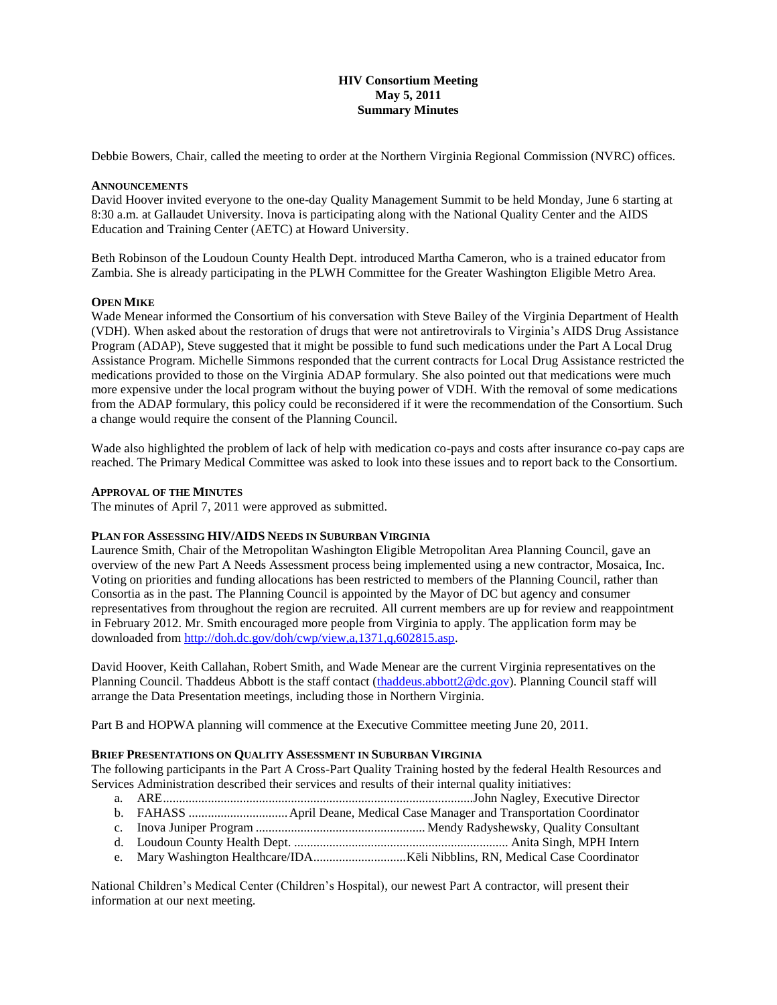# **HIV Consortium Meeting May 5, 2011 Summary Minutes**

Debbie Bowers, Chair, called the meeting to order at the Northern Virginia Regional Commission (NVRC) offices.

### **ANNOUNCEMENTS**

David Hoover invited everyone to the one-day Quality Management Summit to be held Monday, June 6 starting at 8:30 a.m. at Gallaudet University. Inova is participating along with the National Quality Center and the AIDS Education and Training Center (AETC) at Howard University.

Beth Robinson of the Loudoun County Health Dept. introduced Martha Cameron, who is a trained educator from Zambia. She is already participating in the PLWH Committee for the Greater Washington Eligible Metro Area.

### **OPEN MIKE**

Wade Menear informed the Consortium of his conversation with Steve Bailey of the Virginia Department of Health (VDH). When asked about the restoration of drugs that were not antiretrovirals to Virginia's AIDS Drug Assistance Program (ADAP), Steve suggested that it might be possible to fund such medications under the Part A Local Drug Assistance Program. Michelle Simmons responded that the current contracts for Local Drug Assistance restricted the medications provided to those on the Virginia ADAP formulary. She also pointed out that medications were much more expensive under the local program without the buying power of VDH. With the removal of some medications from the ADAP formulary, this policy could be reconsidered if it were the recommendation of the Consortium. Such a change would require the consent of the Planning Council.

Wade also highlighted the problem of lack of help with medication co-pays and costs after insurance co-pay caps are reached. The Primary Medical Committee was asked to look into these issues and to report back to the Consortium.

### **APPROVAL OF THE MINUTES**

The minutes of April 7, 2011 were approved as submitted.

### **PLAN FOR ASSESSING HIV/AIDS NEEDS IN SUBURBAN VIRGINIA**

Laurence Smith, Chair of the Metropolitan Washington Eligible Metropolitan Area Planning Council, gave an overview of the new Part A Needs Assessment process being implemented using a new contractor, Mosaica, Inc. Voting on priorities and funding allocations has been restricted to members of the Planning Council, rather than Consortia as in the past. The Planning Council is appointed by the Mayor of DC but agency and consumer representatives from throughout the region are recruited. All current members are up for review and reappointment in February 2012. Mr. Smith encouraged more people from Virginia to apply. The application form may be downloaded from [http://doh.dc.gov/doh/cwp/view,a,1371,q,602815.asp.](http://doh.dc.gov/doh/cwp/view,a,1371,q,602815.asp)

David Hoover, Keith Callahan, Robert Smith, and Wade Menear are the current Virginia representatives on the Planning Council. Thaddeus Abbott is the staff contact [\(thaddeus.abbott2@dc.gov\)](mailto:thaddeus.abbott2@dc.gov). Planning Council staff will arrange the Data Presentation meetings, including those in Northern Virginia.

Part B and HOPWA planning will commence at the Executive Committee meeting June 20, 2011.

## **BRIEF PRESENTATIONS ON QUALITY ASSESSMENT IN SUBURBAN VIRGINIA**

The following participants in the Part A Cross-Part Quality Training hosted by the federal Health Resources and Services Administration described their services and results of their internal quality initiatives:

- a. ARE.................................................................................................John Nagley, Executive Director
- b. FAHASS ...............................April Deane, Medical Case Manager and Transportation Coordinator
- c. Inova Juniper Program ..................................................... Mendy Radyshewsky, Quality Consultant
- d. Loudoun County Health Dept. ................................................................... Anita Singh, MPH Intern
- e. Mary Washington Healthcare/IDA.............................Kēli Nibblins, RN, Medical Case Coordinator

National Children's Medical Center (Children's Hospital), our newest Part A contractor, will present their information at our next meeting.